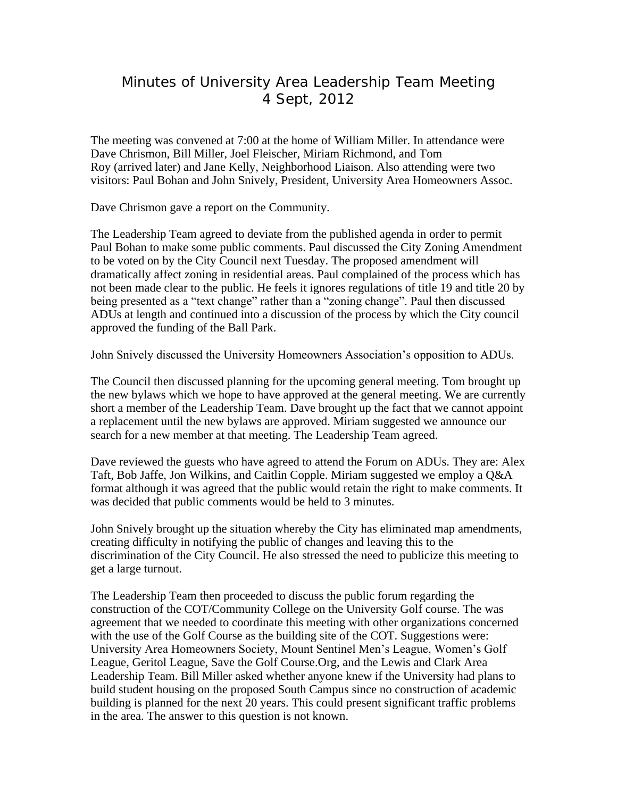## Minutes of University Area Leadership Team Meeting 4 Sept, 2012

The meeting was convened at 7:00 at the home of William Miller. In attendance were Dave Chrismon, Bill Miller, Joel Fleischer, Miriam Richmond, and Tom Roy (arrived later) and Jane Kelly, Neighborhood Liaison. Also attending were two visitors: Paul Bohan and John Snively, President, University Area Homeowners Assoc.

Dave Chrismon gave a report on the Community.

The Leadership Team agreed to deviate from the published agenda in order to permit Paul Bohan to make some public comments. Paul discussed the City Zoning Amendment to be voted on by the City Council next Tuesday. The proposed amendment will dramatically affect zoning in residential areas. Paul complained of the process which has not been made clear to the public. He feels it ignores regulations of title 19 and title 20 by being presented as a "text change" rather than a "zoning change". Paul then discussed ADUs at length and continued into a discussion of the process by which the City council approved the funding of the Ball Park.

John Snively discussed the University Homeowners Association's opposition to ADUs.

The Council then discussed planning for the upcoming general meeting. Tom brought up the new bylaws which we hope to have approved at the general meeting. We are currently short a member of the Leadership Team. Dave brought up the fact that we cannot appoint a replacement until the new bylaws are approved. Miriam suggested we announce our search for a new member at that meeting. The Leadership Team agreed.

Dave reviewed the guests who have agreed to attend the Forum on ADUs. They are: Alex Taft, Bob Jaffe, Jon Wilkins, and Caitlin Copple. Miriam suggested we employ a Q&A format although it was agreed that the public would retain the right to make comments. It was decided that public comments would be held to 3 minutes.

John Snively brought up the situation whereby the City has eliminated map amendments, creating difficulty in notifying the public of changes and leaving this to the discrimination of the City Council. He also stressed the need to publicize this meeting to get a large turnout.

The Leadership Team then proceeded to discuss the public forum regarding the construction of the COT/Community College on the University Golf course. The was agreement that we needed to coordinate this meeting with other organizations concerned with the use of the Golf Course as the building site of the COT. Suggestions were: University Area Homeowners Society, Mount Sentinel Men's League, Women's Golf League, Geritol League, Save the Golf Course.Org, and the Lewis and Clark Area Leadership Team. Bill Miller asked whether anyone knew if the University had plans to build student housing on the proposed South Campus since no construction of academic building is planned for the next 20 years. This could present significant traffic problems in the area. The answer to this question is not known.